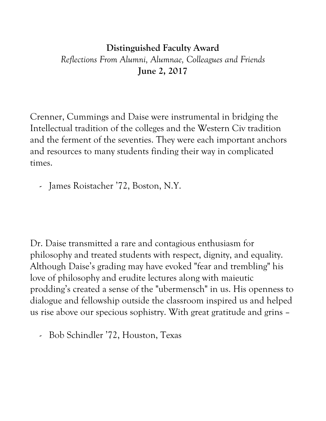## **Distinguished Faculty Award** *Reflections From Alumni, Alumnae, Colleagues and Friends* **June 2, 2017**

Crenner, Cummings and Daise were instrumental in bridging the Intellectual tradition of the colleges and the Western Civ tradition and the ferment of the seventies. They were each important anchors and resources to many students finding their way in complicated times.

- James Roistacher '72, Boston, N.Y.

Dr. Daise transmitted a rare and contagious enthusiasm for philosophy and treated students with respect, dignity, and equality. Although Daise's grading may have evoked "fear and trembling" his love of philosophy and erudite lectures along with maieutic prodding's created a sense of the "ubermensch" in us. His openness to dialogue and fellowship outside the classroom inspired us and helped us rise above our specious sophistry. With great gratitude and grins –

- Bob Schindler '72, Houston, Texas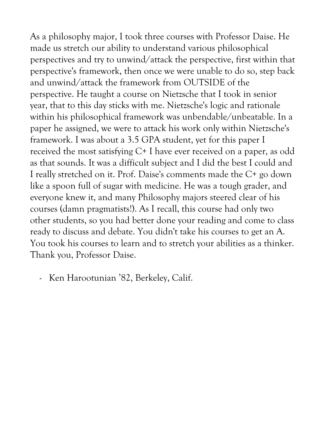As a philosophy major, I took three courses with Professor Daise. He made us stretch our ability to understand various philosophical perspectives and try to unwind/attack the perspective, first within that perspective's framework, then once we were unable to do so, step back and unwind/attack the framework from OUTSIDE of the perspective. He taught a course on Nietzsche that I took in senior year, that to this day sticks with me. Nietzsche's logic and rationale within his philosophical framework was unbendable/unbeatable. In a paper he assigned, we were to attack his work only within Nietzsche's framework. I was about a 3.5 GPA student, yet for this paper I received the most satisfying C+ I have ever received on a paper, as odd as that sounds. It was a difficult subject and I did the best I could and I really stretched on it. Prof. Daise's comments made the C+ go down like a spoon full of sugar with medicine. He was a tough grader, and everyone knew it, and many Philosophy majors steered clear of his courses (damn pragmatists!). As I recall, this course had only two other students, so you had better done your reading and come to class ready to discuss and debate. You didn't take his courses to get an A. You took his courses to learn and to stretch your abilities as a thinker. Thank you, Professor Daise.

- Ken Harootunian '82, Berkeley, Calif.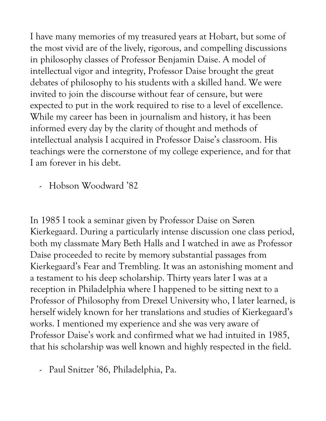I have many memories of my treasured years at Hobart, but some of the most vivid are of the lively, rigorous, and compelling discussions in philosophy classes of Professor Benjamin Daise. A model of intellectual vigor and integrity, Professor Daise brought the great debates of philosophy to his students with a skilled hand. We were invited to join the discourse without fear of censure, but were expected to put in the work required to rise to a level of excellence. While my career has been in journalism and history, it has been informed every day by the clarity of thought and methods of intellectual analysis I acquired in Professor Daise's classroom. His teachings were the cornerstone of my college experience, and for that I am forever in his debt.

- Hobson Woodward '82

In 1985 I took a seminar given by Professor Daise on Søren Kierkegaard. During a particularly intense discussion one class period, both my classmate Mary Beth Halls and I watched in awe as Professor Daise proceeded to recite by memory substantial passages from Kierkegaard's Fear and Trembling. It was an astonishing moment and a testament to his deep scholarship. Thirty years later I was at a reception in Philadelphia where I happened to be sitting next to a Professor of Philosophy from Drexel University who, I later learned, is herself widely known for her translations and studies of Kierkegaard's works. I mentioned my experience and she was very aware of Professor Daise's work and confirmed what we had intuited in 1985, that his scholarship was well known and highly respected in the field.

- Paul Snitzer '86, Philadelphia, Pa.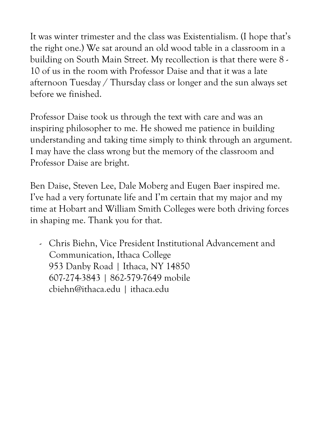It was winter trimester and the class was Existentialism. (I hope that's the right one.) We sat around an old wood table in a classroom in a building on South Main Street. My recollection is that there were 8 - 10 of us in the room with Professor Daise and that it was a late afternoon Tuesday / Thursday class or longer and the sun always set before we finished.

Professor Daise took us through the text with care and was an inspiring philosopher to me. He showed me patience in building understanding and taking time simply to think through an argument. I may have the class wrong but the memory of the classroom and Professor Daise are bright.

Ben Daise, Steven Lee, Dale Moberg and Eugen Baer inspired me. I've had a very fortunate life and I'm certain that my major and my time at Hobart and William Smith Colleges were both driving forces in shaping me. Thank you for that.

- Chris Biehn, Vice President Institutional Advancement and Communication, Ithaca College 953 Danby Road | Ithaca, NY 14850 607-274-3843 | 862-579-7649 mobile cbiehn@ithaca.edu | ithaca.edu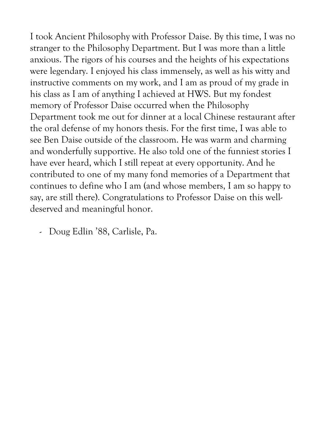I took Ancient Philosophy with Professor Daise. By this time, I was no stranger to the Philosophy Department. But I was more than a little anxious. The rigors of his courses and the heights of his expectations were legendary. I enjoyed his class immensely, as well as his witty and instructive comments on my work, and I am as proud of my grade in his class as I am of anything I achieved at HWS. But my fondest memory of Professor Daise occurred when the Philosophy Department took me out for dinner at a local Chinese restaurant after the oral defense of my honors thesis. For the first time, I was able to see Ben Daise outside of the classroom. He was warm and charming and wonderfully supportive. He also told one of the funniest stories I have ever heard, which I still repeat at every opportunity. And he contributed to one of my many fond memories of a Department that continues to define who I am (and whose members, I am so happy to say, are still there). Congratulations to Professor Daise on this welldeserved and meaningful honor.

- Doug Edlin '88, Carlisle, Pa.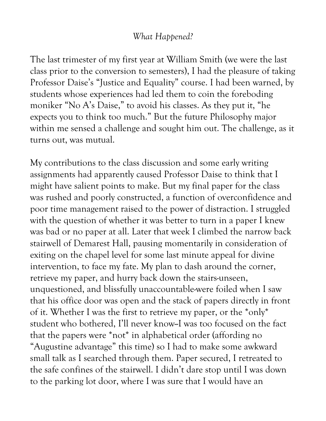## *What Happened?*

The last trimester of my first year at William Smith (we were the last class prior to the conversion to semesters), I had the pleasure of taking Professor Daise's "Justice and Equality" course. I had been warned, by students whose experiences had led them to coin the foreboding moniker "No A's Daise," to avoid his classes. As they put it, "he expects you to think too much." But the future Philosophy major within me sensed a challenge and sought him out. The challenge, as it turns out, was mutual.

My contributions to the class discussion and some early writing assignments had apparently caused Professor Daise to think that I might have salient points to make. But my final paper for the class was rushed and poorly constructed, a function of overconfidence and poor time management raised to the power of distraction. I struggled with the question of whether it was better to turn in a paper I knew was bad or no paper at all. Later that week I climbed the narrow back stairwell of Demarest Hall, pausing momentarily in consideration of exiting on the chapel level for some last minute appeal for divine intervention, to face my fate. My plan to dash around the corner, retrieve my paper, and hurry back down the stairs-unseen, unquestioned, and blissfully unaccountable-were foiled when I saw that his office door was open and the stack of papers directly in front of it. Whether I was the first to retrieve my paper, or the \*only\* student who bothered, I'll never know--I was too focused on the fact that the papers were \*not\* in alphabetical order (affording no "Augustine advantage" this time) so I had to make some awkward small talk as I searched through them. Paper secured, I retreated to the safe confines of the stairwell. I didn't dare stop until I was down to the parking lot door, where I was sure that I would have an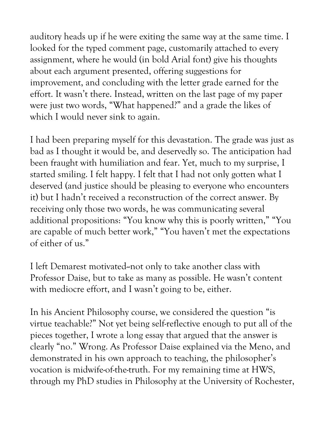auditory heads up if he were exiting the same way at the same time. I looked for the typed comment page, customarily attached to every assignment, where he would (in bold Arial font) give his thoughts about each argument presented, offering suggestions for improvement, and concluding with the letter grade earned for the effort. It wasn't there. Instead, written on the last page of my paper were just two words, "What happened?" and a grade the likes of which I would never sink to again.

I had been preparing myself for this devastation. The grade was just as bad as I thought it would be, and deservedly so. The anticipation had been fraught with humiliation and fear. Yet, much to my surprise, I started smiling. I felt happy. I felt that I had not only gotten what I deserved (and justice should be pleasing to everyone who encounters it) but I hadn't received a reconstruction of the correct answer. By receiving only those two words, he was communicating several additional propositions: "You know why this is poorly written," "You are capable of much better work," "You haven't met the expectations of either of us."

I left Demarest motivated--not only to take another class with Professor Daise, but to take as many as possible. He wasn't content with mediocre effort, and I wasn't going to be, either.

In his Ancient Philosophy course, we considered the question "is virtue teachable?" Not yet being self-reflective enough to put all of the pieces together, I wrote a long essay that argued that the answer is clearly "no." Wrong. As Professor Daise explained via the Meno, and demonstrated in his own approach to teaching, the philosopher's vocation is midwife-of-the-truth. For my remaining time at HWS, through my PhD studies in Philosophy at the University of Rochester,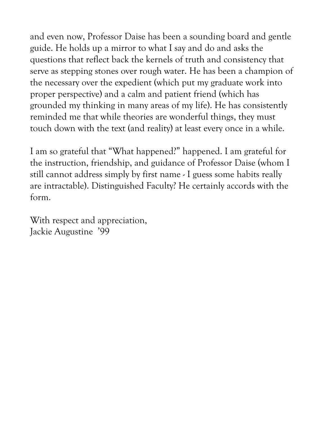and even now, Professor Daise has been a sounding board and gentle guide. He holds up a mirror to what I say and do and asks the questions that reflect back the kernels of truth and consistency that serve as stepping stones over rough water. He has been a champion of the necessary over the expedient (which put my graduate work into proper perspective) and a calm and patient friend (which has grounded my thinking in many areas of my life). He has consistently reminded me that while theories are wonderful things, they must touch down with the text (and reality) at least every once in a while.

I am so grateful that "What happened?" happened. I am grateful for the instruction, friendship, and guidance of Professor Daise (whom I still cannot address simply by first name - I guess some habits really are intractable). Distinguished Faculty? He certainly accords with the form.

With respect and appreciation, Jackie Augustine '99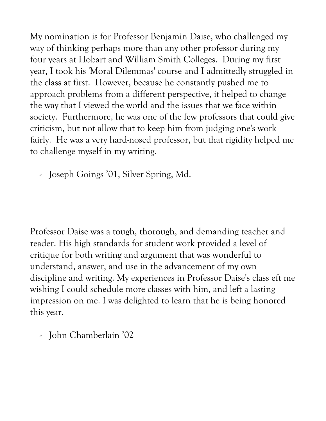My nomination is for Professor Benjamin Daise, who challenged my way of thinking perhaps more than any other professor during my four years at Hobart and William Smith Colleges. During my first year, I took his 'Moral Dilemmas' course and I admittedly struggled in the class at first. However, because he constantly pushed me to approach problems from a different perspective, it helped to change the way that I viewed the world and the issues that we face within society. Furthermore, he was one of the few professors that could give criticism, but not allow that to keep him from judging one's work fairly. He was a very hard-nosed professor, but that rigidity helped me to challenge myself in my writing.

- Joseph Goings '01, Silver Spring, Md.

Professor Daise was a tough, thorough, and demanding teacher and reader. His high standards for student work provided a level of critique for both writing and argument that was wonderful to understand, answer, and use in the advancement of my own discipline and writing. My experiences in Professor Daise's class eft me wishing I could schedule more classes with him, and left a lasting impression on me. I was delighted to learn that he is being honored this year.

- John Chamberlain '02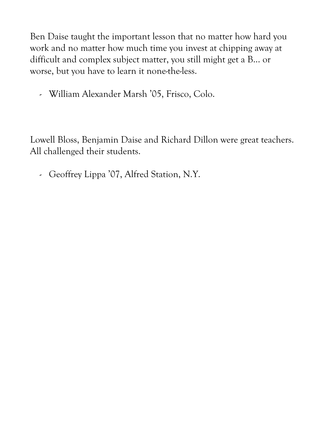Ben Daise taught the important lesson that no matter how hard you work and no matter how much time you invest at chipping away at difficult and complex subject matter, you still might get a B... or worse, but you have to learn it none-the-less.

- William Alexander Marsh '05, Frisco, Colo.

Lowell Bloss, Benjamin Daise and Richard Dillon were great teachers. All challenged their students.

- Geoffrey Lippa '07, Alfred Station, N.Y.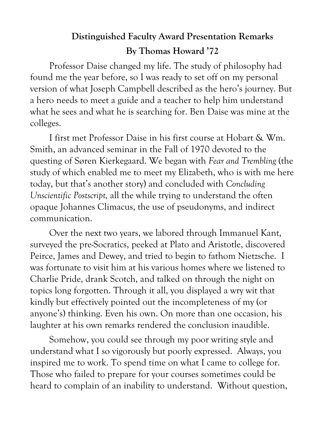## **Distinguished Faculty Award Presentation Remarks**

## **By Thomas Howard '72**

Professor Daise changed my life. The study of philosophy had found me the year before, so I was ready to set off on my personal version of what Joseph Campbell described as the hero's journey. But a hero needs to meet a guide and a teacher to help him understand what he sees and what he is searching for. Ben Daise was mine at the colleges.

I first met Professor Daise in his first course at Hobart & Wm. Smith, an advanced seminar in the Fall of 1970 devoted to the questing of Søren Kierkegaard. We began with *Fear and Trembling* (the study of which enabled me to meet my Elizabeth, who is with me here today, but that's another story) and concluded with *Concluding Unscientific Postscript,* all the while trying to understand the often opaque Johannes Climacus, the use of pseudonyms, and indirect communication.

Over the next two years, we labored through Immanuel Kant, surveyed the pre-Socratics, peeked at Plato and Aristotle, discovered Peirce, James and Dewey, and tried to begin to fathom Nietzsche. I was fortunate to visit him at his various homes where we listened to Charlie Pride, drank Scotch, and talked on through the night on topics long forgotten. Through it all, you displayed a wry wit that kindly but effectively pointed out the incompleteness of my (or anyone's) thinking. Even his own. On more than one occasion, his laughter at his own remarks rendered the conclusion inaudible.

Somehow, you could see through my poor writing style and understand what I so vigorously but poorly expressed. Always, you inspired me to work. To spend time on what I came to college for. Those who failed to prepare for your courses sometimes could be heard to complain of an inability to understand. Without question,